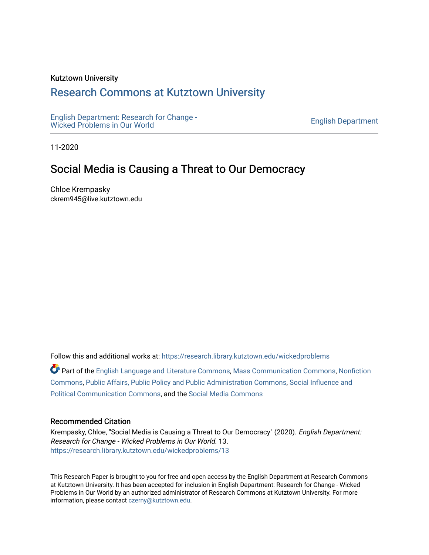### Kutztown University

# [Research Commons at Kutztown University](https://research.library.kutztown.edu/)

[English Department: Research for Change -](https://research.library.kutztown.edu/wickedproblems) English Department. Research for Ghange -<br>[Wicked Problems in Our World](https://research.library.kutztown.edu/wickedproblems) English Department

11-2020

# Social Media is Causing a Threat to Our Democracy

Chloe Krempasky ckrem945@live.kutztown.edu

Follow this and additional works at: [https://research.library.kutztown.edu/wickedproblems](https://research.library.kutztown.edu/wickedproblems?utm_source=research.library.kutztown.edu%2Fwickedproblems%2F13&utm_medium=PDF&utm_campaign=PDFCoverPages) 

Part of the [English Language and Literature Commons](http://network.bepress.com/hgg/discipline/455?utm_source=research.library.kutztown.edu%2Fwickedproblems%2F13&utm_medium=PDF&utm_campaign=PDFCoverPages), [Mass Communication Commons](http://network.bepress.com/hgg/discipline/334?utm_source=research.library.kutztown.edu%2Fwickedproblems%2F13&utm_medium=PDF&utm_campaign=PDFCoverPages), [Nonfiction](http://network.bepress.com/hgg/discipline/1152?utm_source=research.library.kutztown.edu%2Fwickedproblems%2F13&utm_medium=PDF&utm_campaign=PDFCoverPages)  [Commons](http://network.bepress.com/hgg/discipline/1152?utm_source=research.library.kutztown.edu%2Fwickedproblems%2F13&utm_medium=PDF&utm_campaign=PDFCoverPages), [Public Affairs, Public Policy and Public Administration Commons](http://network.bepress.com/hgg/discipline/393?utm_source=research.library.kutztown.edu%2Fwickedproblems%2F13&utm_medium=PDF&utm_campaign=PDFCoverPages), [Social Influence and](http://network.bepress.com/hgg/discipline/337?utm_source=research.library.kutztown.edu%2Fwickedproblems%2F13&utm_medium=PDF&utm_campaign=PDFCoverPages)  [Political Communication Commons](http://network.bepress.com/hgg/discipline/337?utm_source=research.library.kutztown.edu%2Fwickedproblems%2F13&utm_medium=PDF&utm_campaign=PDFCoverPages), and the [Social Media Commons](http://network.bepress.com/hgg/discipline/1249?utm_source=research.library.kutztown.edu%2Fwickedproblems%2F13&utm_medium=PDF&utm_campaign=PDFCoverPages)

#### Recommended Citation

Krempasky, Chloe, "Social Media is Causing a Threat to Our Democracy" (2020). English Department: Research for Change - Wicked Problems in Our World. 13. [https://research.library.kutztown.edu/wickedproblems/13](https://research.library.kutztown.edu/wickedproblems/13?utm_source=research.library.kutztown.edu%2Fwickedproblems%2F13&utm_medium=PDF&utm_campaign=PDFCoverPages)

This Research Paper is brought to you for free and open access by the English Department at Research Commons at Kutztown University. It has been accepted for inclusion in English Department: Research for Change - Wicked Problems in Our World by an authorized administrator of Research Commons at Kutztown University. For more information, please contact [czerny@kutztown.edu.](mailto:czerny@kutztown.edu)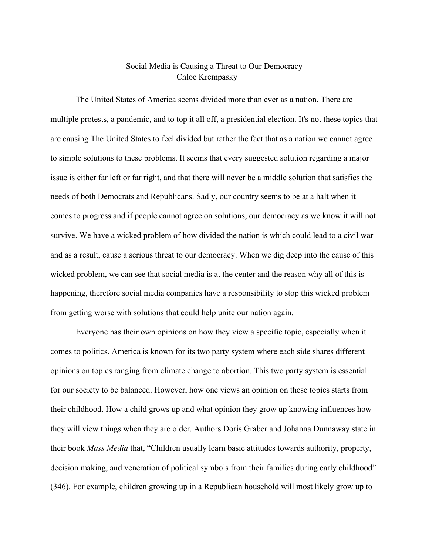## Social Media is Causing a Threat to Our Democracy Chloe Krempasky

The United States of America seems divided more than ever as a nation. There are multiple protests, a pandemic, and to top it all off, a presidential election. It's not these topics that are causing The United States to feel divided but rather the fact that as a nation we cannot agree to simple solutions to these problems. It seems that every suggested solution regarding a major issue is either far left or far right, and that there will never be a middle solution that satisfies the needs of both Democrats and Republicans. Sadly, our country seems to be at a halt when it comes to progress and if people cannot agree on solutions, our democracy as we know it will not survive. We have a wicked problem of how divided the nation is which could lead to a civil war and as a result, cause a serious threat to our democracy. When we dig deep into the cause of this wicked problem, we can see that social media is at the center and the reason why all of this is happening, therefore social media companies have a responsibility to stop this wicked problem from getting worse with solutions that could help unite our nation again.

Everyone has their own opinions on how they view a specific topic, especially when it comes to politics. America is known for its two party system where each side shares different opinions on topics ranging from climate change to abortion. This two party system is essential for our society to be balanced. However, how one views an opinion on these topics starts from their childhood. How a child grows up and what opinion they grow up knowing influences how they will view things when they are older. Authors Doris Graber and Johanna Dunnaway state in their book *Mass Media* that, "Children usually learn basic attitudes towards authority, property, decision making, and veneration of political symbols from their families during early childhood" (346). For example, children growing up in a Republican household will most likely grow up to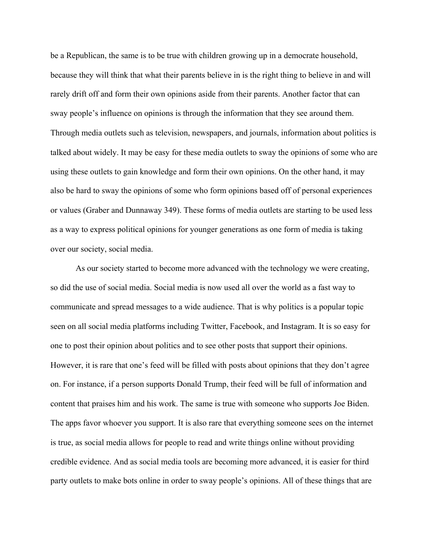be a Republican, the same is to be true with children growing up in a democrate household, because they will think that what their parents believe in is the right thing to believe in and will rarely drift off and form their own opinions aside from their parents. Another factor that can sway people's influence on opinions is through the information that they see around them. Through media outlets such as television, newspapers, and journals, information about politics is talked about widely. It may be easy for these media outlets to sway the opinions of some who are using these outlets to gain knowledge and form their own opinions. On the other hand, it may also be hard to sway the opinions of some who form opinions based off of personal experiences or values (Graber and Dunnaway 349). These forms of media outlets are starting to be used less as a way to express political opinions for younger generations as one form of media is taking over our society, social media.

As our society started to become more advanced with the technology we were creating, so did the use of social media. Social media is now used all over the world as a fast way to communicate and spread messages to a wide audience. That is why politics is a popular topic seen on all social media platforms including Twitter, Facebook, and Instagram. It is so easy for one to post their opinion about politics and to see other posts that support their opinions. However, it is rare that one's feed will be filled with posts about opinions that they don't agree on. For instance, if a person supports Donald Trump, their feed will be full of information and content that praises him and his work. The same is true with someone who supports Joe Biden. The apps favor whoever you support. It is also rare that everything someone sees on the internet is true, as social media allows for people to read and write things online without providing credible evidence. And as social media tools are becoming more advanced, it is easier for third party outlets to make bots online in order to sway people's opinions. All of these things that are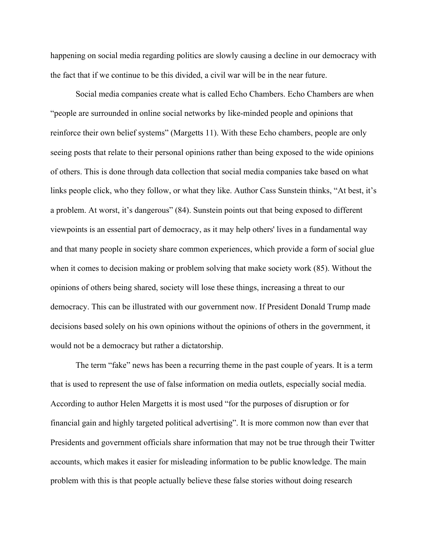happening on social media regarding politics are slowly causing a decline in our democracy with the fact that if we continue to be this divided, a civil war will be in the near future.

Social media companies create what is called Echo Chambers. Echo Chambers are when "people are surrounded in online social networks by like-minded people and opinions that reinforce their own belief systems" (Margetts 11). With these Echo chambers, people are only seeing posts that relate to their personal opinions rather than being exposed to the wide opinions of others. This is done through data collection that social media companies take based on what links people click, who they follow, or what they like. Author Cass Sunstein thinks, "At best, it's a problem. At worst, it's dangerous" (84). Sunstein points out that being exposed to different viewpoints is an essential part of democracy, as it may help others' lives in a fundamental way and that many people in society share common experiences, which provide a form of social glue when it comes to decision making or problem solving that make society work (85). Without the opinions of others being shared, society will lose these things, increasing a threat to our democracy. This can be illustrated with our government now. If President Donald Trump made decisions based solely on his own opinions without the opinions of others in the government, it would not be a democracy but rather a dictatorship.

The term "fake" news has been a recurring theme in the past couple of years. It is a term that is used to represent the use of false information on media outlets, especially social media. According to author Helen Margetts it is most used "for the purposes of disruption or for financial gain and highly targeted political advertising". It is more common now than ever that Presidents and government officials share information that may not be true through their Twitter accounts, which makes it easier for misleading information to be public knowledge. The main problem with this is that people actually believe these false stories without doing research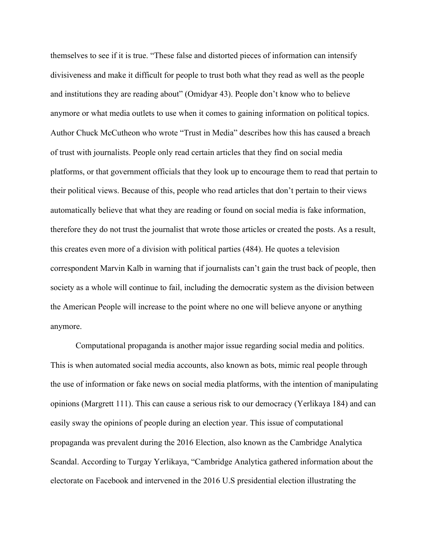themselves to see if it is true. "These false and distorted pieces of information can intensify divisiveness and make it difficult for people to trust both what they read as well as the people and institutions they are reading about" (Omidyar 43). People don't know who to believe anymore or what media outlets to use when it comes to gaining information on political topics. Author Chuck McCutheon who wrote "Trust in Media" describes how this has caused a breach of trust with journalists. People only read certain articles that they find on social media platforms, or that government officials that they look up to encourage them to read that pertain to their political views. Because of this, people who read articles that don't pertain to their views automatically believe that what they are reading or found on social media is fake information, therefore they do not trust the journalist that wrote those articles or created the posts. As a result, this creates even more of a division with political parties (484). He quotes a television correspondent Marvin Kalb in warning that if journalists can't gain the trust back of people, then society as a whole will continue to fail, including the democratic system as the division between the American People will increase to the point where no one will believe anyone or anything anymore.

Computational propaganda is another major issue regarding social media and politics. This is when automated social media accounts, also known as bots, mimic real people through the use of information or fake news on social media platforms, with the intention of manipulating opinions (Margrett 111). This can cause a serious risk to our democracy (Yerlikaya 184) and can easily sway the opinions of people during an election year. This issue of computational propaganda was prevalent during the 2016 Election, also known as the Cambridge Analytica Scandal. According to Turgay Yerlikaya, "Cambridge Analytica gathered information about the electorate on Facebook and intervened in the 2016 U.S presidential election illustrating the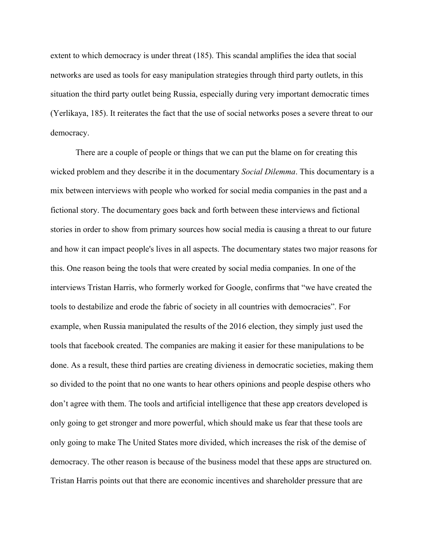extent to which democracy is under threat (185). This scandal amplifies the idea that social networks are used as tools for easy manipulation strategies through third party outlets, in this situation the third party outlet being Russia, especially during very important democratic times (Yerlikaya, 185). It reiterates the fact that the use of social networks poses a severe threat to our democracy.

There are a couple of people or things that we can put the blame on for creating this wicked problem and they describe it in the documentary *Social Dilemma*. This documentary is a mix between interviews with people who worked for social media companies in the past and a fictional story. The documentary goes back and forth between these interviews and fictional stories in order to show from primary sources how social media is causing a threat to our future and how it can impact people's lives in all aspects. The documentary states two major reasons for this. One reason being the tools that were created by social media companies. In one of the interviews Tristan Harris, who formerly worked for Google, confirms that "we have created the tools to destabilize and erode the fabric of society in all countries with democracies". For example, when Russia manipulated the results of the 2016 election, they simply just used the tools that facebook created. The companies are making it easier for these manipulations to be done. As a result, these third parties are creating divieness in democratic societies, making them so divided to the point that no one wants to hear others opinions and people despise others who don't agree with them. The tools and artificial intelligence that these app creators developed is only going to get stronger and more powerful, which should make us fear that these tools are only going to make The United States more divided, which increases the risk of the demise of democracy. The other reason is because of the business model that these apps are structured on. Tristan Harris points out that there are economic incentives and shareholder pressure that are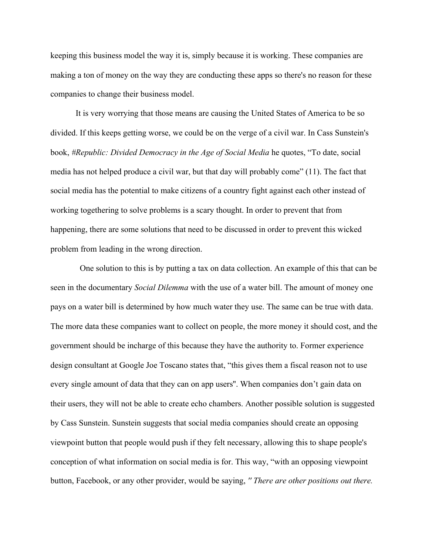keeping this business model the way it is, simply because it is working. These companies are making a ton of money on the way they are conducting these apps so there's no reason for these companies to change their business model.

It is very worrying that those means are causing the United States of America to be so divided. If this keeps getting worse, we could be on the verge of a civil war. In Cass Sunstein's book, *#Republic: Divided Democracy in the Age of Social Media* he quotes, "To date, social media has not helped produce a civil war, but that day will probably come" (11). The fact that social media has the potential to make citizens of a country fight against each other instead of working togethering to solve problems is a scary thought. In order to prevent that from happening, there are some solutions that need to be discussed in order to prevent this wicked problem from leading in the wrong direction.

 One solution to this is by putting a tax on data collection. An example of this that can be seen in the documentary *Social Dilemma* with the use of a water bill. The amount of money one pays on a water bill is determined by how much water they use. The same can be true with data. The more data these companies want to collect on people, the more money it should cost, and the government should be incharge of this because they have the authority to. Former experience design consultant at Google Joe Toscano states that, "this gives them a fiscal reason not to use every single amount of data that they can on app users''. When companies don't gain data on their users, they will not be able to create echo chambers. Another possible solution is suggested by Cass Sunstein. Sunstein suggests that social media companies should create an opposing viewpoint button that people would push if they felt necessary, allowing this to shape people's conception of what information on social media is for. This way, "with an opposing viewpoint button, Facebook, or any other provider, would be saying, *'' There are other positions out there.*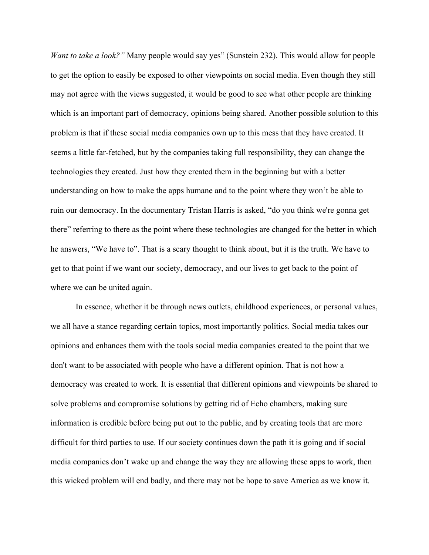*Want to take a look?*" Many people would say yes" (Sunstein 232). This would allow for people to get the option to easily be exposed to other viewpoints on social media. Even though they still may not agree with the views suggested, it would be good to see what other people are thinking which is an important part of democracy, opinions being shared. Another possible solution to this problem is that if these social media companies own up to this mess that they have created. It seems a little far-fetched, but by the companies taking full responsibility, they can change the technologies they created. Just how they created them in the beginning but with a better understanding on how to make the apps humane and to the point where they won't be able to ruin our democracy. In the documentary Tristan Harris is asked, "do you think we're gonna get there" referring to there as the point where these technologies are changed for the better in which he answers, "We have to". That is a scary thought to think about, but it is the truth. We have to get to that point if we want our society, democracy, and our lives to get back to the point of where we can be united again.

In essence, whether it be through news outlets, childhood experiences, or personal values, we all have a stance regarding certain topics, most importantly politics. Social media takes our opinions and enhances them with the tools social media companies created to the point that we don't want to be associated with people who have a different opinion. That is not how a democracy was created to work. It is essential that different opinions and viewpoints be shared to solve problems and compromise solutions by getting rid of Echo chambers, making sure information is credible before being put out to the public, and by creating tools that are more difficult for third parties to use. If our society continues down the path it is going and if social media companies don't wake up and change the way they are allowing these apps to work, then this wicked problem will end badly, and there may not be hope to save America as we know it.